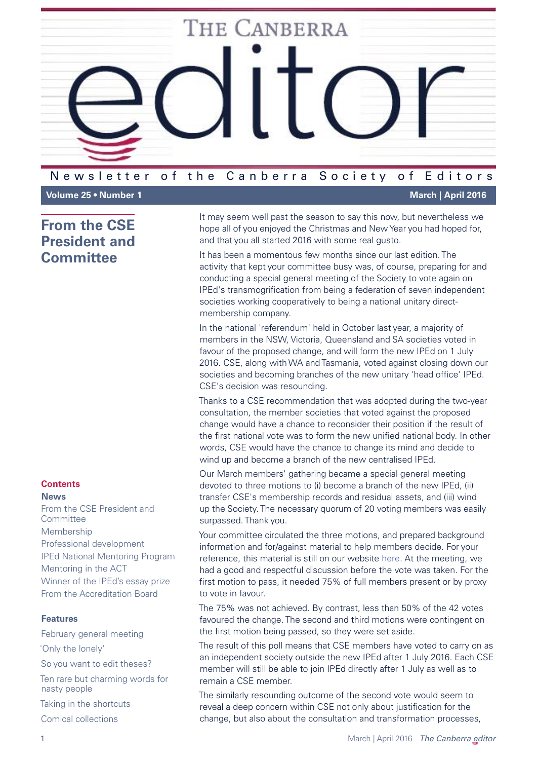

### Newsletter of the Canberra Society of Editors

# <span id="page-0-0"></span>**From the CSE President and Committee**

# **Contents**

**News** [From the CSE President and](#page-0-0)  [Committee](#page-0-0) [Membership](#page-1-0) [Professional development](#page-2-0) [IPEd National Mentoring Program](#page-3-0) [Mentoring in the ACT](#page-3-1) [Winner of the IPEd's essay prize](#page-4-0) [From the Accreditation Board](#page-4-1)

#### **Features**

[February general meeting](#page-5-0) ['Only the lonely'](#page-6-0) [So you want to](#page-7-0) edit theses? [Ten rare but charming words for](#page-9-0)  [nasty people](#page-9-0)

[Taking in the shortcuts](#page-10-0)

[Comical collections](#page-12-0)

**Volume 25 • Number 1 March** | **April 2016**

It may seem well past the season to say this now, but nevertheless we hope all of you enjoyed the Christmas and New Year you had hoped for, and that you all started 2016 with some real gusto.

It has been a momentous few months since our last edition. The activity that kept your committee busy was, of course, preparing for and conducting a special general meeting of the Society to vote again on IPEd's transmogrification from being a federation of seven independent societies working cooperatively to being a national unitary directmembership company.

In the national 'referendum' held in October last year, a majority of members in the NSW, Victoria, Queensland and SA societies voted in favour of the proposed change, and will form the new IPEd on 1 July 2016. CSE, along with WA and Tasmania, voted against closing down our societies and becoming branches of the new unitary 'head office' IPEd. CSE's decision was resounding.

Thanks to a CSE recommendation that was adopted during the two-year consultation, the member societies that voted against the proposed change would have a chance to reconsider their position if the result of the first national vote was to form the new unified national body. In other words, CSE would have the chance to change its mind and decide to wind up and become a branch of the new centralised IPEd.

Our March members' gathering became a special general meeting devoted to three motions to (i) become a branch of the new IPEd, (ii) transfer CSE's membership records and residual assets, and (iii) wind up the Society. The necessary quorum of 20 voting members was easily surpassed. Thank you.

Your committee circulated the three motions, and prepared background information and for/against material to help members decide. For your reference, this material is still on our website [here](http://www.editorscanberra.org/october-2015/). At the meeting, we had a good and respectful discussion before the vote was taken. For the first motion to pass, it needed 75% of full members present or by proxy to vote in favour.

The 75% was not achieved. By contrast, less than 50% of the 42 votes favoured the change. The second and third motions were contingent on the first motion being passed, so they were set aside.

The result of this poll means that CSE members have voted to carry on as an independent society outside the new IPEd after 1 July 2016. Each CSE member will still be able to join IPEd directly after 1 July as well as to remain a CSE member.

The similarly resounding outcome of the second vote would seem to reveal a deep concern within CSE not only about justification for the change, but also about the consultation and transformation processes,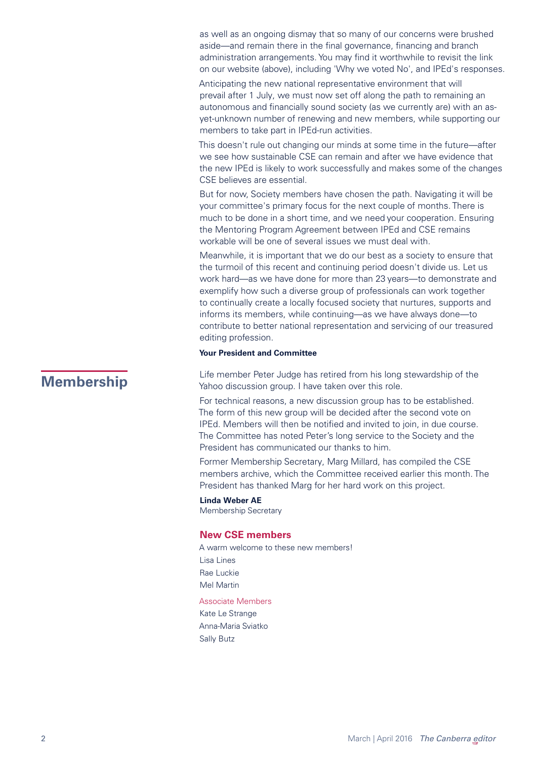as well as an ongoing dismay that so many of our concerns were brushed aside—and remain there in the final governance, financing and branch administration arrangements. You may find it worthwhile to revisit the link on our website (above), including 'Why we voted No', and IPEd's responses.

Anticipating the new national representative environment that will prevail after 1 July, we must now set off along the path to remaining an autonomous and financially sound society (as we currently are) with an asyet-unknown number of renewing and new members, while supporting our members to take part in IPEd-run activities.

This doesn't rule out changing our minds at some time in the future—after we see how sustainable CSE can remain and after we have evidence that the new IPEd is likely to work successfully and makes some of the changes CSE believes are essential.

But for now, Society members have chosen the path. Navigating it will be your committee's primary focus for the next couple of months. There is much to be done in a short time, and we need your cooperation. Ensuring the Mentoring Program Agreement between IPEd and CSE remains workable will be one of several issues we must deal with.

Meanwhile, it is important that we do our best as a society to ensure that the turmoil of this recent and continuing period doesn't divide us. Let us work hard—as we have done for more than 23 years—to demonstrate and exemplify how such a diverse group of professionals can work together to continually create a locally focused society that nurtures, supports and informs its members, while continuing—as we have always done—to contribute to better national representation and servicing of our treasured editing profession.

#### **Your President and Committee**

<span id="page-1-0"></span>**Membership** Life member Peter Judge has retired from his long stewardship of the<br>
Yahoo discussion group I have taken over this role Yahoo discussion group. I have taken over this role.

> For technical reasons, a new discussion group has to be established. The form of this new group will be decided after the second vote on IPEd. Members will then be notified and invited to join, in due course. The Committee has noted Peter's long service to the Society and the President has communicated our thanks to him.

Former Membership Secretary, Marg Millard, has compiled the CSE members archive, which the Committee received earlier this month. The President has thanked Marg for her hard work on this project.

#### **Linda Weber AE**

Membership Secretary

#### **New CSE members**

A warm welcome to these new members! Lisa Lines Rae Luckie Mel Martin Associate Members

Kate Le Strange Anna-Maria Sviatko Sally Butz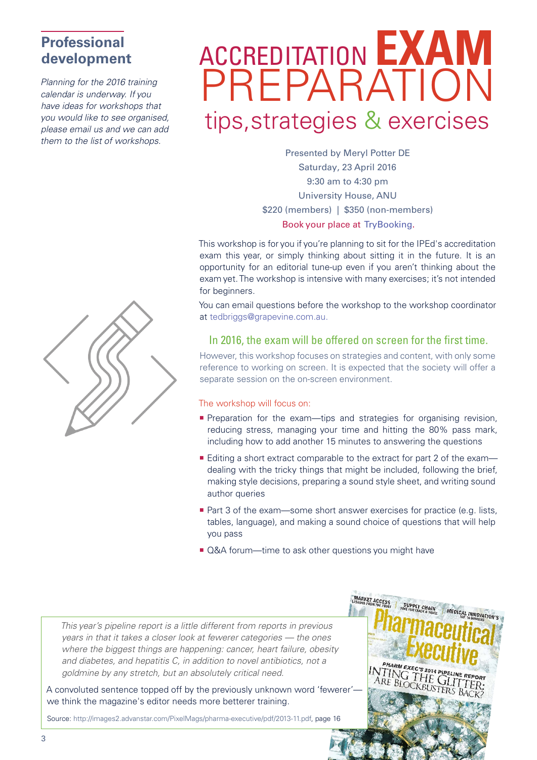# <span id="page-2-0"></span>**Professional development**

*Planning for the 2016 training calendar is underway. If you have ideas for workshops that you would like to see organised, please email us and we can add them to the list of workshops.* 

# ACCREDITATION **EXAM** PREPARATION tips,strategies & exercises

Presented by Meryl Potter DE Saturday, 23 April 2016 9:30 am to 4:30 pm University House, ANU \$220 (members) | \$350 (non-members) [Book your place at TryBooking.](https://www.trybooking.com/Booking/BookingEventSummary.aspx?eid=192052)

This workshop is for you if you're planning to sit for the IPEd's accreditation exam this year, or simply thinking about sitting it in the future. It is an opportunity for an editorial tune-up even if you aren't thinking about the exam yet. The workshop is intensive with many exercises; it's not intended for beginners.

You can email questions before the workshop to the workshop coordinator at tedbriggs@grapevine.com.au.

## In 2016, the exam will be offered on screen for the first time.

However, this workshop focuses on strategies and content, with only some reference to working on screen. It is expected that the society will offer a separate session on the on-screen environment.

#### The workshop will focus on:

- **Preparation for the exam—tips and strategies for organising revision,** reducing stress, managing your time and hitting the 80% pass mark, including how to add another 15 minutes to answering the questions
- Editing a short extract comparable to the extract for part 2 of the exam dealing with the tricky things that might be included, following the brief, making style decisions, preparing a sound style sheet, and writing sound author queries
- Part 3 of the exam—some short answer exercises for practice (e.g. lists, tables, language), and making a sound choice of questions that will help you pass
- Q&A forum—time to ask other questions you might have

*This year's pipeline report is a little different from reports in previous years in that it takes a closer look at fewerer categories — the ones where the biggest things are happening: cancer, heart failure, obesity and diabetes, and hepatitis C, in addition to novel antibiotics, not a goldmine by any stretch, but an absolutely critical need.*

A convoluted sentence topped off by the previously unknown word 'fewerer' we think the magazine's editor needs more betterer training.

Source: http://images2.advanstar.com/PixelMags/pharma-executive/pdf/2013-11.pdf, page 16



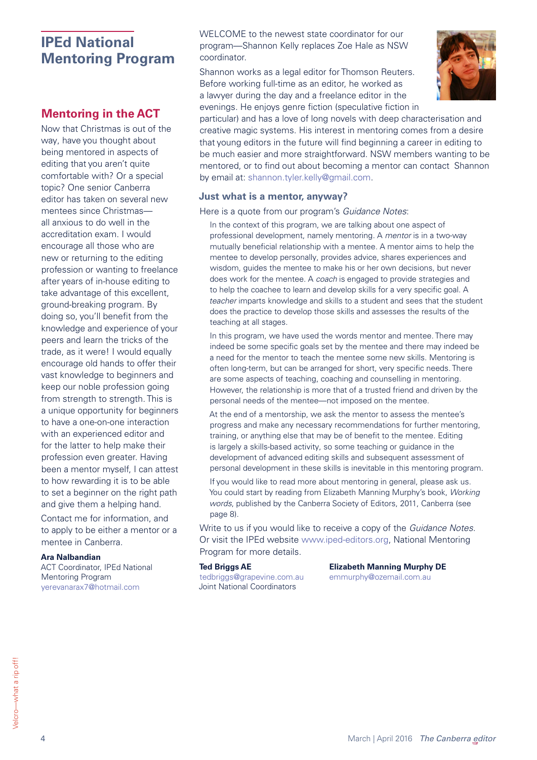# <span id="page-3-0"></span>**IPEd National Mentoring Program**

# <span id="page-3-1"></span>**Mentoring in the ACT**

Now that Christmas is out of the way, have you thought about being mentored in aspects of editing that you aren't quite comfortable with? Or a special topic? One senior Canberra editor has taken on several new mentees since Christmas all anxious to do well in the accreditation exam. I would encourage all those who are new or returning to the editing profession or wanting to freelance after years of in-house editing to take advantage of this excellent, ground-breaking program. By doing so, you'll benefit from the knowledge and experience of your peers and learn the tricks of the trade, as it were! I would equally encourage old hands to offer their vast knowledge to beginners and keep our noble profession going from strength to strength. This is a unique opportunity for beginners to have a one-on-one interaction with an experienced editor and for the latter to help make their profession even greater. Having been a mentor myself, I can attest to how rewarding it is to be able to set a beginner on the right path and give them a helping hand.

Contact me for information, and to apply to be either a mentor or a mentee in Canberra.

#### **Ara Nalbandian**

ACT Coordinator, IPEd National Mentoring Program [yerevanarax7@hotmail.com](mailto:yerevanarax7@hotmail.com)

WELCOME to the newest state coordinator for our program—Shannon Kelly replaces Zoe Hale as NSW coordinator.

Shannon works as a legal editor for Thomson Reuters. Before working full-time as an editor, he worked as a lawyer during the day and a freelance editor in the evenings. He enjoys genre fiction (speculative fiction in



particular) and has a love of long novels with deep characterisation and creative magic systems. His interest in mentoring comes from a desire that young editors in the future will find beginning a career in editing to be much easier and more straightforward. NSW members wanting to be mentored, or to find out about becoming a mentor can contact Shannon by email at: shannon.tyler.kelly@gmail.com.

#### **Just what is a mentor, anyway?**

Here is a quote from our program's *Guidance Notes*:

In the context of this program, we are talking about one aspect of professional development, namely mentoring. A *mentor* is in a two-way mutually beneficial relationship with a mentee. A mentor aims to help the mentee to develop personally, provides advice, shares experiences and wisdom, guides the mentee to make his or her own decisions, but never does work for the mentee. A *coach* is engaged to provide strategies and to help the coachee to learn and develop skills for a very specific goal. A *teacher* imparts knowledge and skills to a student and sees that the student does the practice to develop those skills and assesses the results of the teaching at all stages.

In this program, we have used the words mentor and mentee. There may indeed be some specific goals set by the mentee and there may indeed be a need for the mentor to teach the mentee some new skills. Mentoring is often long-term, but can be arranged for short, very specific needs. There are some aspects of teaching, coaching and counselling in mentoring. However, the relationship is more that of a trusted friend and driven by the personal needs of the mentee—not imposed on the mentee.

At the end of a mentorship, we ask the mentor to assess the mentee's progress and make any necessary recommendations for further mentoring, training, or anything else that may be of benefit to the mentee. Editing is largely a skills-based activity, so some teaching or guidance in the development of advanced editing skills and subsequent assessment of personal development in these skills is inevitable in this mentoring program.

If you would like to read more about mentoring in general, please ask us. You could start by reading from Elizabeth Manning Murphy's book, *Working words*, published by the Canberra Society of Editors, 2011, Canberra (see page 8).

Write to us if you would like to receive a copy of the *Guidance Notes*. Or visit the IPEd website www.iped-editors.org, National Mentoring Program for more details.

[tedbriggs@grapevine.com.au](mailto:tedbriggs%40grapevine.com.au?subject=) [emmurphy@ozemail.com.au](mailto:emmurphy%40ozemail.com.au?subject=) Joint National Coordinators

#### **Ted Briggs AE Elizabeth Manning Murphy DE**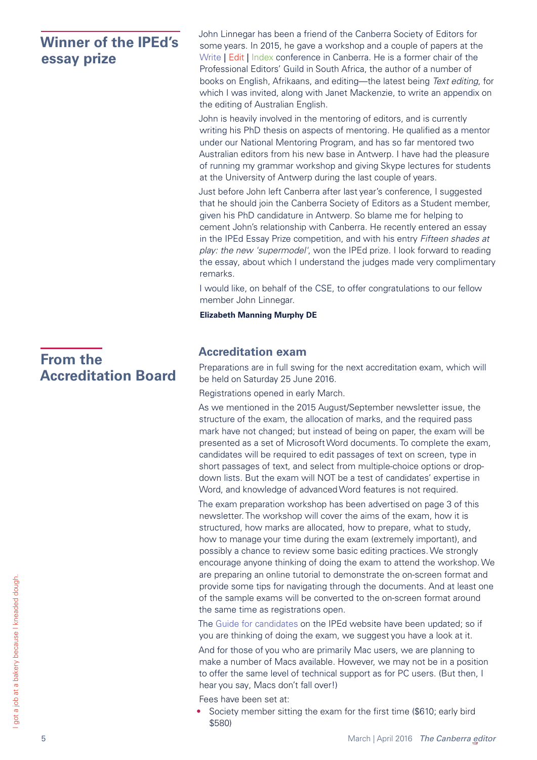# <span id="page-4-0"></span>**Winner of the IPEd's essay prize**

John Linnegar has been a friend of the Canberra Society of Editors for some years. In 2015, he gave a workshop and a couple of papers at the Write | Edit | Index conference in Canberra. He is a former chair of the Professional Editors' Guild in South Africa, the author of a number of books on English, Afrikaans, and editing—the latest being *Text editing*, for which I was invited, along with Janet Mackenzie, to write an appendix on the editing of Australian English.

John is heavily involved in the mentoring of editors, and is currently writing his PhD thesis on aspects of mentoring. He qualified as a mentor under our National Mentoring Program, and has so far mentored two Australian editors from his new base in Antwerp. I have had the pleasure of running my grammar workshop and giving Skype lectures for students at the University of Antwerp during the last couple of years.

Just before John left Canberra after last year's conference, I suggested that he should join the Canberra Society of Editors as a Student member, given his PhD candidature in Antwerp. So blame me for helping to cement John's relationship with Canberra. He recently entered an essay in the IPEd Essay Prize competition, and with his entry *Fifteen shades at play: the new 'supermodel'*, won the IPEd prize. I look forward to reading the essay, about which I understand the judges made very complimentary remarks.

I would like, on behalf of the CSE, to offer congratulations to our fellow member John Linnegar.

**Elizabeth Manning Murphy DE**

# <span id="page-4-1"></span>**Accreditation exam**

Preparations are in full swing for the next accreditation exam, which will be held on Saturday 25 June 2016.

Registrations opened in early March.

As we mentioned in the 2015 August/September newsletter issue, the structure of the exam, the allocation of marks, and the required pass mark have not changed; but instead of being on paper, the exam will be presented as a set of Microsoft Word documents. To complete the exam, candidates will be required to edit passages of text on screen, type in short passages of text, and select from multiple-choice options or dropdown lists. But the exam will NOT be a test of candidates' expertise in Word, and knowledge of advanced Word features is not required.

The exam preparation workshop has been advertised on page 3 of this newsletter. The workshop will cover the aims of the exam, how it is structured, how marks are allocated, how to prepare, what to study, how to manage your time during the exam (extremely important), and possibly a chance to review some basic editing practices. We strongly encourage anyone thinking of doing the exam to attend the workshop. We are preparing an online tutorial to demonstrate the on-screen format and provide some tips for navigating through the documents. And at least one of the sample exams will be converted to the on-screen format around the same time as registrations open.

The [Guide for candidates](http://iped-editors.org/Accreditation/Next_accreditation_exam/Guidelines_for_candidates.aspx) on the IPEd website have been updated; so if you are thinking of doing the exam, we suggest you have a look at it.

And for those of you who are primarily Mac users, we are planning to make a number of Macs available. However, we may not be in a position to offer the same level of technical support as for PC users. (But then, I hear you say, Macs don't fall over!)

Fees have been set at:

• Society member sitting the exam for the first time (\$610; early bird \$580)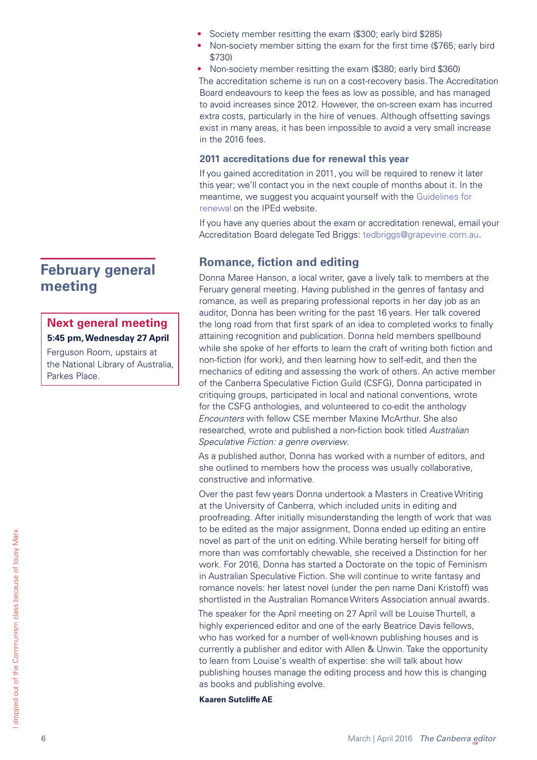- Society member resitting the exam (\$300; early bird \$285)
- Non-society member sitting the exam for the first time (\$765; early bird \$730)

• Non-society member resitting the exam (\$380; early bird \$360) The accreditation scheme is run on a cost-recovery basis. The Accreditation Board endeavours to keep the fees as low as possible, and has managed to avoid increases since 2012. However, the on-screen exam has incurred extra costs, particularly in the hire of venues. Although offsetting savings exist in many areas, it has been impossible to avoid a very small increase in the 2016 fees.

#### **2011 accreditations due for renewal this year**

If you gained accreditation in 2011, you will be required to renew it later this year; we'll contact you in the next couple of months about it. In the meantime, we suggest you acquaint yourself with the [Guidelines for](http://iped-editors.org/Accreditation/Renewal_of_accreditation/Guidelines_for_renewal.aspx)  [renewal](http://iped-editors.org/Accreditation/Renewal_of_accreditation/Guidelines_for_renewal.aspx) on the IPEd website.

If you have any queries about the exam or accreditation renewal, email your Accreditation Board delegate Ted Briggs: [tedbriggs@grapevine.com.au.](mailto:tedbriggs%40grapevine.com.au?subject=)

# **Romance, fiction and editing**

Donna Maree Hanson, a local writer, gave a lively talk to members at the Feruary general meeting. Having published in the genres of fantasy and romance, as well as preparing professional reports in her day job as an auditor, Donna has been writing for the past 16 years. Her talk covered the long road from that first spark of an idea to completed works to finally attaining recognition and publication. Donna held members spellbound while she spoke of her efforts to learn the craft of writing both fiction and non-fiction (for work), and then learning how to self-edit, and then the mechanics of editing and assessing the work of others. An active member of the Canberra Speculative Fiction Guild (CSFG), Donna participated in critiquing groups, participated in local and national conventions, wrote for the CSFG anthologies, and volunteered to co-edit the anthology *Encounters* with fellow CSE member Maxine McArthur. She also researched, wrote and published a non-fiction book titled *Australian Speculative Fiction: a genre overview*.

As a published author, Donna has worked with a number of editors, and she outlined to members how the process was usually collaborative, constructive and informative.

Over the past few years Donna undertook a Masters in Creative Writing at the University of Canberra, which included units in editing and proofreading. After initially misunderstanding the length of work that was to be edited as the major assignment, Donna ended up editing an entire novel as part of the unit on editing. While berating herself for biting off more than was comfortably chewable, she received a Distinction for her work. For 2016, Donna has started a Doctorate on the topic of Feminism in Australian Speculative Fiction. She will continue to write fantasy and romance novels: her latest novel (under the pen name Dani Kristoff) was shortlisted in the Australian Romance Writers Association annual awards.

The speaker for the April meeting on 27 April will be Louise Thurtell, a highly experienced editor and one of the early Beatrice Davis fellows, who has worked for a number of well-known publishing houses and is currently a publisher and editor with Allen & Unwin. Take the opportunity to learn from Louise's wealth of expertise: she will talk about how publishing houses manage the editing process and how this is changing as books and publishing evolve.

#### **Kaaren Sutcliffe AE**

# <span id="page-5-0"></span>**February general meeting**

## **Next general meeting 5:45 pm, Wednesday 27 April**

Ferguson Room, upstairs at the National Library of Australia, Parkes Place.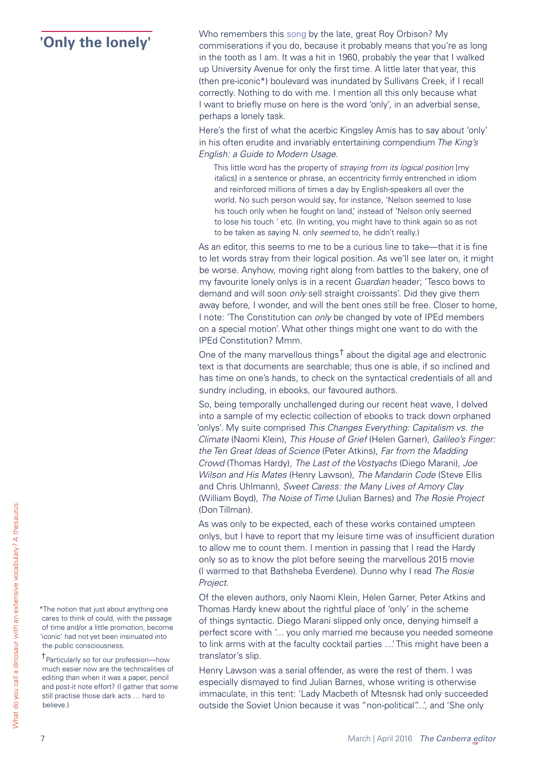<span id="page-6-0"></span>**The lonely'** Who remembers this [song](https://www.youtube.com/watch?v=hIeEmuIncGQ) by the late, great Roy Orbison? My<br> **Conly the lonely'** commiserations if you do, because it probably means that you're as long in the tooth as I am. It was a hit in 1960, probably the year that I walked up University Avenue for only the first time. A little later that year, this (then pre-iconic\*) boulevard was inundated by Sullivans Creek, if I recall correctly. Nothing to do with me. I mention all this only because what I want to briefly muse on here is the word 'only', in an adverbial sense, perhaps a lonely task.

> Here's the first of what the acerbic Kingsley Amis has to say about 'only' in his often erudite and invariably entertaining compendium *The King's English: a Guide to Modern Usage*.

This little word has the property of *straying from its logical position* [my italics] in a sentence or phrase, an eccentricity firmly entrenched in idiom and reinforced millions of times a day by English-speakers all over the world. No such person would say, for instance, 'Nelson seemed to lose his touch only when he fought on land,' instead of 'Nelson only seemed to lose his touch ' etc. (In writing, you might have to think again so as not to be taken as saying N. only *seemed* to, he didn't really.)

As an editor, this seems to me to be a curious line to take—that it is fine to let words stray from their logical position. As we'll see later on, it might be worse. Anyhow, moving right along from battles to the bakery, one of my favourite lonely onlys is in a recent *Guardian* header; 'Tesco bows to demand and will soon *only* sell straight croissants'. Did they give them away before, I wonder, and will the bent ones still be free. Closer to home, I note: 'The Constitution can *only* be changed by vote of IPEd members on a special motion'. What other things might one want to do with the IPEd Constitution? Mmm.

One of the many marvellous things<sup>†</sup> about the digital age and electronic text is that documents are searchable; thus one is able, if so inclined and has time on one's hands, to check on the syntactical credentials of all and sundry including, in ebooks, our favoured authors.

So, being temporally unchallenged during our recent heat wave, I delved into a sample of my eclectic collection of ebooks to track down orphaned 'onlys'. My suite comprised *This Changes Everything: Capitalism vs. the Climate* (Naomi Klein), *This House of Grief* (Helen Garner), *Galileo's Finger: the Ten Great Ideas of Science* (Peter Atkins), *Far from the Madding Crowd* (Thomas Hardy), *The Last of the Vostyachs* (Diego Marani), *Joe Wilson and His Mates* (Henry Lawson), *The Mandarin Code* (Steve Ellis and Chris Uhlmann), *Sweet Caress: the Many Lives of Amory Clay* (William Boyd), *The Noise of Time* (Julian Barnes) and *The Rosie Project*  (Don Tillman).

As was only to be expected, each of these works contained umpteen onlys, but I have to report that my leisure time was of insufficient duration to allow me to count them. I mention in passing that I read the Hardy only so as to know the plot before seeing the marvellous 2015 movie (I warmed to that Bathsheba Everdene). Dunno why I read *The Rosie Project*.

Of the eleven authors, only Naomi Klein, Helen Garner, Peter Atkins and Thomas Hardy knew about the rightful place of 'only' in the scheme of things syntactic. Diego Marani slipped only once, denying himself a perfect score with '… you only married me because you needed someone to link arms with at the faculty cocktail parties …' This might have been a translator's slip.

Henry Lawson was a serial offender, as were the rest of them. I was especially dismayed to find Julian Barnes, whose writing is otherwise immaculate, in this tent: 'Lady Macbeth of Mtesnsk had only succeeded outside the Soviet Union because it was "non-political"…', and 'She only

\*The notion that just about anything one cares to think of could, with the passage of time and/or a little promotion, become 'iconic' had not yet been insinuated into the public consciousness.

†Particularly so for our profession—how much easier now are the technicalities of editing than when it was a paper, pencil and post-it note effort? (I gather that some still practise those dark acts … hard to believe.)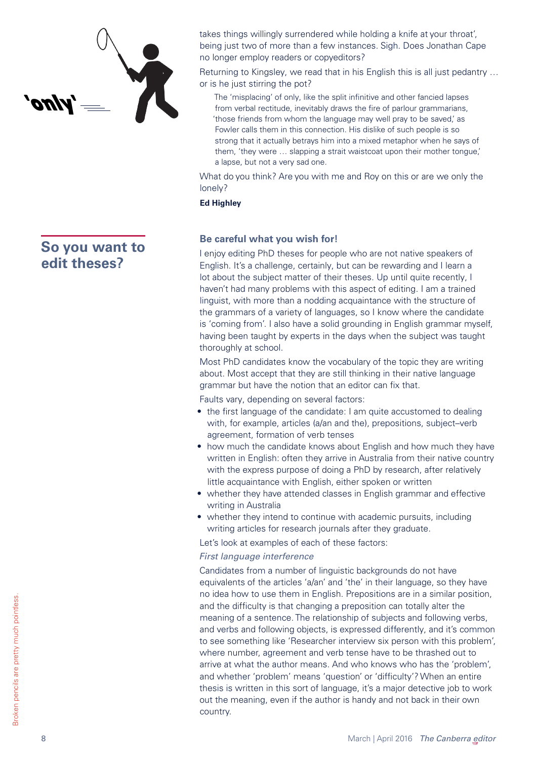

# <span id="page-7-0"></span>**So you want to edit theses?**

takes things willingly surrendered while holding a knife at your throat', being just two of more than a few instances. Sigh. Does Jonathan Cape no longer employ readers or copyeditors?

Returning to Kingsley, we read that in his English this is all just pedantry … or is he just stirring the pot?

The 'misplacing' of only, like the split infinitive and other fancied lapses from verbal rectitude, inevitably draws the fire of parlour grammarians, 'those friends from whom the language may well pray to be saved,' as Fowler calls them in this connection. His dislike of such people is so strong that it actually betrays him into a mixed metaphor when he says of them, 'they were … slapping a strait waistcoat upon their mother tongue,' a lapse, but not a very sad one.

What do you think? Are you with me and Roy on this or are we only the lonely?

#### **Ed Highley**

#### **Be careful what you wish for!**

I enjoy editing PhD theses for people who are not native speakers of English. It's a challenge, certainly, but can be rewarding and I learn a lot about the subject matter of their theses. Up until quite recently, I haven't had many problems with this aspect of editing. I am a trained linguist, with more than a nodding acquaintance with the structure of the grammars of a variety of languages, so I know where the candidate is 'coming from'. I also have a solid grounding in English grammar myself, having been taught by experts in the days when the subject was taught thoroughly at school.

Most PhD candidates know the vocabulary of the topic they are writing about. Most accept that they are still thinking in their native language grammar but have the notion that an editor can fix that.

Faults vary, depending on several factors:

- the first language of the candidate: I am quite accustomed to dealing with, for example, articles (a/an and the), prepositions, subject–verb agreement, formation of verb tenses
- how much the candidate knows about English and how much they have written in English: often they arrive in Australia from their native country with the express purpose of doing a PhD by research, after relatively little acquaintance with English, either spoken or written
- whether they have attended classes in English grammar and effective writing in Australia
- whether they intend to continue with academic pursuits, including writing articles for research journals after they graduate.

Let's look at examples of each of these factors:

#### *First language interference*

Candidates from a number of linguistic backgrounds do not have equivalents of the articles 'a/an' and 'the' in their language, so they have no idea how to use them in English. Prepositions are in a similar position, and the difficulty is that changing a preposition can totally alter the meaning of a sentence. The relationship of subjects and following verbs, and verbs and following objects, is expressed differently, and it's common to see something like 'Researcher interview six person with this problem', where number, agreement and verb tense have to be thrashed out to arrive at what the author means. And who knows who has the 'problem', and whether 'problem' means 'question' or 'difficulty'? When an entire thesis is written in this sort of language, it's a major detective job to work out the meaning, even if the author is handy and not back in their own country.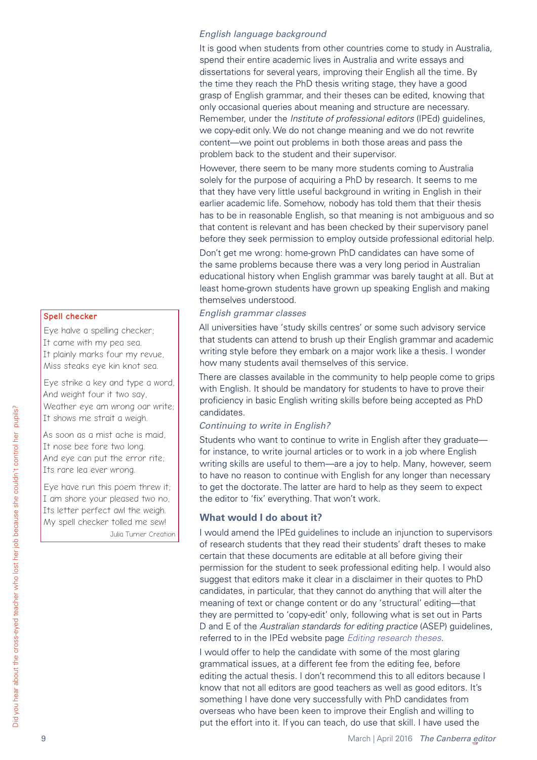#### *English language background*

It is good when students from other countries come to study in Australia, spend their entire academic lives in Australia and write essays and dissertations for several years, improving their English all the time. By the time they reach the PhD thesis writing stage, they have a good grasp of English grammar, and their theses can be edited, knowing that only occasional queries about meaning and structure are necessary. Remember, under the *Institute of professional editors* (IPEd) guidelines, we copy-edit only. We do not change meaning and we do not rewrite content—we point out problems in both those areas and pass the problem back to the student and their supervisor.

However, there seem to be many more students coming to Australia solely for the purpose of acquiring a PhD by research. It seems to me that they have very little useful background in writing in English in their earlier academic life. Somehow, nobody has told them that their thesis has to be in reasonable English, so that meaning is not ambiguous and so that content is relevant and has been checked by their supervisory panel before they seek permission to employ outside professional editorial help.

Don't get me wrong: home-grown PhD candidates can have some of the same problems because there was a very long period in Australian educational history when English grammar was barely taught at all. But at least home-grown students have grown up speaking English and making themselves understood.

#### *English grammar classes*

All universities have 'study skills centres' or some such advisory service that students can attend to brush up their English grammar and academic writing style before they embark on a major work like a thesis. I wonder how many students avail themselves of this service.

There are classes available in the community to help people come to grips with English. It should be mandatory for students to have to prove their proficiency in basic English writing skills before being accepted as PhD candidates.

#### *Continuing to write in English?*

Students who want to continue to write in English after they graduate for instance, to write journal articles or to work in a job where English writing skills are useful to them—are a joy to help. Many, however, seem to have no reason to continue with English for any longer than necessary to get the doctorate. The latter are hard to help as they seem to expect the editor to 'fix' everything. That won't work.

#### **What would I do about it?**

I would amend the IPEd guidelines to include an injunction to supervisors of research students that they read their students' draft theses to make certain that these documents are editable at all before giving their permission for the student to seek professional editing help. I would also suggest that editors make it clear in a disclaimer in their quotes to PhD candidates, in particular, that they cannot do anything that will alter the meaning of text or change content or do any 'structural' editing—that they are permitted to 'copy-edit' only, following what is set out in Parts D and E of the *Australian standards for editing practice* (ASEP) guidelines, referred to in the IPEd website page *[Editing research theses](http://iped-editors.org/About_editing/Editing_theses/FAQ_editors.aspx)*.

I would offer to help the candidate with some of the most glaring grammatical issues, at a different fee from the editing fee, before editing the actual thesis. I don't recommend this to all editors because I know that not all editors are good teachers as well as good editors. It's something I have done very successfully with PhD candidates from overseas who have been keen to improve their English and willing to put the effort into it. If you can teach, do use that skill. I have used the

#### **Spell checker**

Eye halve a spelling checker; It came with my pea sea. It plainly marks four my revue, Miss steaks eye kin knot sea.

Eye strike a key and type a word, And weight four it two say, Weather eye am wrong oar write; It shows me strait a weigh.

As soon as a mist ache is maid, It nose bee fore two long. And eye can put the error rite; Its rare lea ever wrong.

Eye have run this poem threw it; I am shore your pleased two no, Its letter perfect awl the weigh. My spell checker tolled me sew! Julia Turner Creation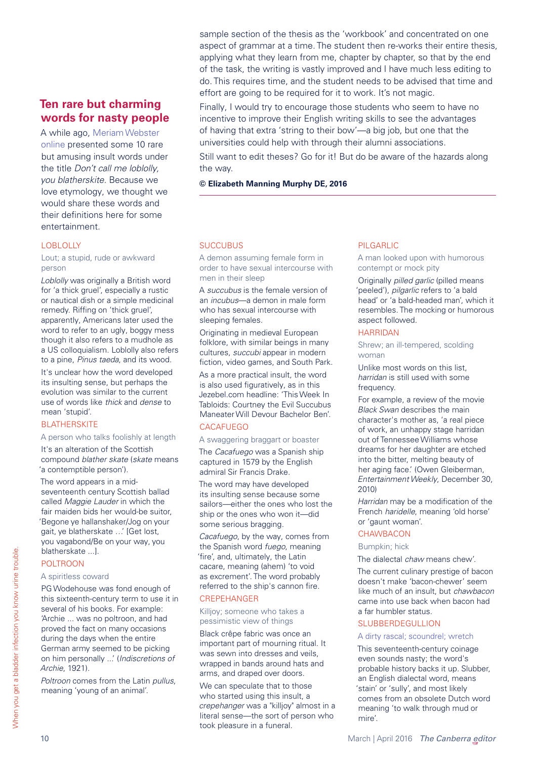# <span id="page-9-0"></span>**Ten rare but charming words for nasty people**

A while ago, [Meriam Webster](http://www.merriam-webster.com/)  [online](http://www.merriam-webster.com/) presented some 10 rare but amusing insult words under the title *Don't call me loblolly, you blatherskite*. Because we love etymology, we thought we would share these words and their definitions here for some entertainment.

#### **LOBLOLLY**

Lout; a stupid, rude or awkward person

*Loblolly* was originally a British word for 'a thick gruel', especially a rustic or nautical dish or a simple medicinal remedy. Riffing on 'thick gruel', apparently, Americans later used the word to refer to an ugly, boggy mess though it also refers to a mudhole as a US colloquialism. Loblolly also refers to a pine, *Pinus taeda*, and its wood.

It's unclear how the word developed its insulting sense, but perhaps the evolution was similar to the current use of words like *thick* and *dense* to mean 'stupid'.

#### **BLATHERSKITE**

#### A person who talks foolishly at length

It's an alteration of the Scottish compound *blather skate* (*skate* means 'a contemptible person').

The word appears in a midseventeenth century Scottish ballad called *Maggie Lauder* in which the fair maiden bids her would-be suitor, 'Begone ye hallanshaker/Jog on your gait, ye blatherskate …' [Get lost, you vagabond/Be on your way, you blatherskate ...].

#### POLTROON

#### A spiritless coward

PG Wodehouse was fond enough of this sixteenth-century term to use it in several of his books. For example: 'Archie ... was no poltroon, and had proved the fact on many occasions during the days when the entire German army seemed to be picking on him personally ...' (*Indiscretions of Archie*, 1921).

*Poltroon* comes from the Latin *pullus*, meaning 'young of an animal'.

sample section of the thesis as the 'workbook' and concentrated on one aspect of grammar at a time. The student then re-works their entire thesis, applying what they learn from me, chapter by chapter, so that by the end of the task, the writing is vastly improved and I have much less editing to do. This requires time, and the student needs to be advised that time and effort are going to be required for it to work. It's not magic.

Finally, I would try to encourage those students who seem to have no incentive to improve their English writing skills to see the advantages of having that extra 'string to their bow'—a big job, but one that the universities could help with through their alumni associations.

Still want to edit theses? Go for it! But do be aware of the hazards along the way.

#### **© Elizabeth Manning Murphy DE, 2016**

#### **SUCCUBUS**

A demon assuming female form in order to have sexual intercourse with men in their sleep

A *succubus* is the female version of an *incubus*—a demon in male form who has sexual intercourse with sleeping females.

Originating in medieval European folklore, with similar beings in many cultures, *succubi* appear in modern fiction, video games, and South Park.

As a more practical insult, the word is also used figuratively, as in this Jezebel.com headline: 'This Week In Tabloids: Courtney the Evil Succubus Maneater Will Devour Bachelor Ben'. **CACAFUEGO** 

#### A swaggering braggart or boaster

The *Cacafuego* was a Spanish ship captured in 1579 by the English admiral Sir Francis Drake.

The word may have developed its insulting sense because some sailors—either the ones who lost the ship or the ones who won it—did some serious bragging.

*Cacafuego*, by the way, comes from the Spanish word *fuego*, meaning 'fire', and, ultimately, the Latin cacare, meaning (ahem) 'to void as excrement'. The word probably referred to the ship's cannon fire.

#### **CREPEHANGER**

#### Killjoy; someone who takes a pessimistic view of things

Black crêpe fabric was once an important part of mourning ritual. It was sewn into dresses and veils, wrapped in bands around hats and arms, and draped over doors.

We can speculate that to those who started using this insult, a *crepehanger* was a "killjoy" almost in a literal sense—the sort of person who took pleasure in a funeral.

#### PILGARLIC

A man looked upon with humorous contempt or mock pity

Originally *pilled garlic* (pilled means 'peeled'), *pilgarlic* refers to 'a bald head' or 'a bald-headed man', which it resembles. The mocking or humorous aspect followed.

#### HARRIDAN

Shrew; an ill-tempered, scolding woman

Unlike most words on this list, *harridan* is still used with some frequency.

For example, a review of the movie *Black Swan* describes the main character's mother as, 'a real piece of work, an unhappy stage harridan out of Tennessee Williams whose dreams for her daughter are etched into the bitter, melting beauty of her aging face.' (Owen Gleiberman, *Entertainment Weekly*, December 30, 2010)

*Harridan* may be a modification of the French *haridelle*, meaning 'old horse' or 'gaunt woman'.

#### **CHAWBACON**

#### Bumpkin; hick

The dialectal *chaw* means chew'.

The current culinary prestige of bacon doesn't make 'bacon-chewer' seem like much of an insult, but *chawbacon* came into use back when bacon had a far humbler status.

#### **SLUBBERDEGULLION**

#### A dirty rascal; scoundrel; wretch

This seventeenth-century coinage even sounds nasty; the word's probable history backs it up. Slubber, an English dialectal word, means 'stain' or 'sully', and most likely comes from an obsolete Dutch word meaning 'to walk through mud or mire'.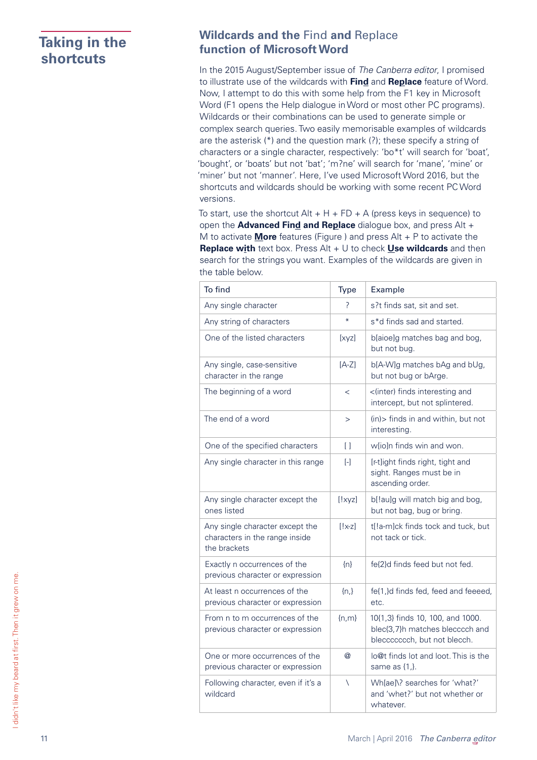# <span id="page-10-0"></span>**Taking in the shortcuts**

# **Wildcards and the** Find **and** Replace **function of Microsoft Word**

In the 2015 August/September issue of *The Canberra editor*, I promised to illustrate use of the wildcards with **Find** and **Replace** feature of Word. Now, I attempt to do this with some help from the F1 key in Microsoft Word (F1 opens the Help dialogue in Word or most other PC programs). Wildcards or their combinations can be used to generate simple or complex search queries. Two easily memorisable examples of wildcards are the asterisk (\*) and the question mark (?); these specify a string of characters or a single character, respectively: 'bo\*t' will search for 'boat', 'bought', or 'boats' but not 'bat'; 'm?ne' will search for 'mane', 'mine' or 'miner' but not 'manner'. Here, I've used Microsoft Word 2016, but the shortcuts and wildcards should be working with some recent PC Word versions.

To start, use the shortcut  $Alt + H + FD + A$  (press keys in sequence) to open the **Advanced Find and Replace** dialogue box, and press Alt + M to activate **More** features (Figure ) and press Alt + P to activate the **Replace with** text box. Press Alt + U to check **Use wildcards** and then search for the strings you want. Examples of the wildcards are given in the table below.

| To find                                                                           | Type           | Example                                                                                             |
|-----------------------------------------------------------------------------------|----------------|-----------------------------------------------------------------------------------------------------|
| Any single character                                                              | 7              | s?t finds sat, sit and set.                                                                         |
| Any string of characters                                                          | $\ast$         | s*d finds sad and started.                                                                          |
| One of the listed characters                                                      | [xyz]          | b[aioe]g matches bag and bog,<br>but not bug.                                                       |
| Any single, case-sensitive<br>character in the range                              | $[A-Z]$        | b[A-W]g matches bAg and bUg,<br>but not bug or bArge.                                               |
| The beginning of a word                                                           | $\,<$          | <(inter) finds interesting and<br>intercept, but not splintered.                                    |
| The end of a word                                                                 | $\rm{>}$       | (in) > finds in and within, but not<br>interesting.                                                 |
| One of the specified characters                                                   | $\Box$         | w[io]n finds win and won.                                                                           |
| Any single character in this range                                                | $\mathbb{H}$   | [r-t]ight finds right, tight and<br>sight. Ranges must be in<br>ascending order.                    |
| Any single character except the<br>ones listed                                    | [!xyz]         | b[!au]g will match big and bog,<br>but not bag, bug or bring.                                       |
| Any single character except the<br>characters in the range inside<br>the brackets | $[!x-z]$       | t[!a-m]ck finds tock and tuck, but<br>not tack or tick.                                             |
| Exactly n occurrences of the<br>previous character or expression                  | $\{n\}$        | fe{2}d finds feed but not fed.                                                                      |
| At least n occurrences of the<br>previous character or expression                 | $\{n_i\}$      | fe{1,}d finds fed, feed and feeeed,<br>etc.                                                         |
| From n to m occurrences of the<br>previous character or expression                | ${n,m}$        | 10{1,3} finds 10, 100, and 1000.<br>blec{3,7}h matches blecccch and<br>bleccccccch, but not blecch. |
| One or more occurrences of the<br>previous character or expression                | $^{\circledR}$ | lo@t finds lot and loot. This is the<br>same as $\{1\}$ .                                           |
| Following character, even if it's a<br>wildcard                                   | $\setminus$    | Wh[ae]\? searches for 'what?'<br>and 'whet?' but not whether or<br>whatever.                        |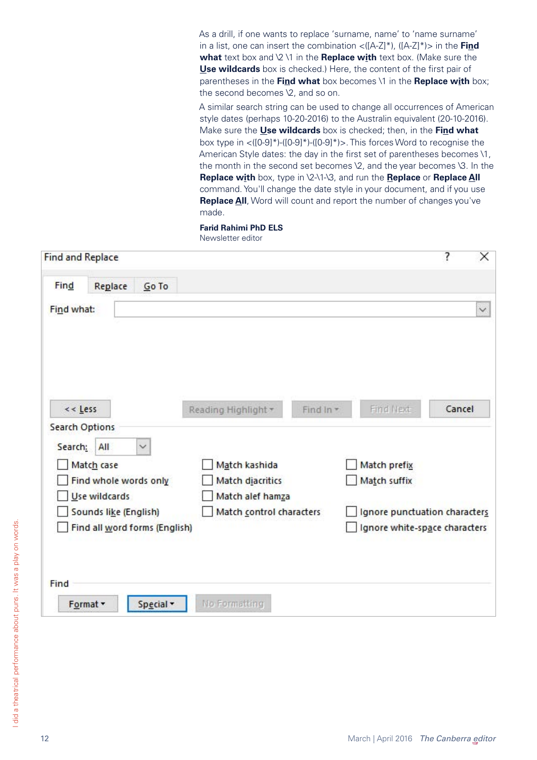As a drill, if one wants to replace 'surname, name' to 'name surname' in a list, one can insert the combination <([A-Z]\*), ([A-Z]\*)> in the **Find what** text box and \2 \1 in the **Replace with** text box. (Make sure the **Use wildcards** box is checked.) Here, the content of the first pair of parentheses in the **Find what** box becomes \1 in the **Replace with** box; the second becomes \2, and so on.

A similar search string can be used to change all occurrences of American style dates (perhaps 10-20-2016) to the Australin equivalent (20-10-2016). Make sure the **Use wildcards** box is checked; then, in the **Find what** box type in <([0-9]\*)-([0-9]\*)-([0-9]\*)>. This forces Word to recognise the American Style dates: the day in the first set of parentheses becomes \1, the month in the second set becomes \2, and the year becomes \3. In the **Replace with** box, type in \2-\1-\3, and run the **Replace** or **Replace All** command. You'll change the date style in your document, and if you use **Replace All**, Word will count and report the number of changes you've made.

**Farid Rahimi PhD ELS** Newsletter editor

| <b>Find and Replace</b>        |                                  | ?<br>X                        |
|--------------------------------|----------------------------------|-------------------------------|
| Find<br>Go To<br>Replace       |                                  |                               |
| Find what:                     |                                  | $\checkmark$                  |
|                                |                                  |                               |
| $<<$ Less                      | Find In *<br>Reading Highlight v | Find Next<br>Cancel           |
| <b>Search Options</b>          |                                  |                               |
| $\checkmark$<br>Search:<br>All |                                  |                               |
| Match case                     | Match kashida                    | Match prefix                  |
| Find whole words only          | Match diacritics                 | Match suffix                  |
| Use wildcards                  | Match alef hamza                 |                               |
| Sounds like (English)          | Match control characters         | Ignore punctuation characters |
| Find all word forms (English)  |                                  | Ignore white-space characters |
|                                |                                  |                               |
| Find                           |                                  |                               |
| Format -<br>Special *          | No Formatting                    |                               |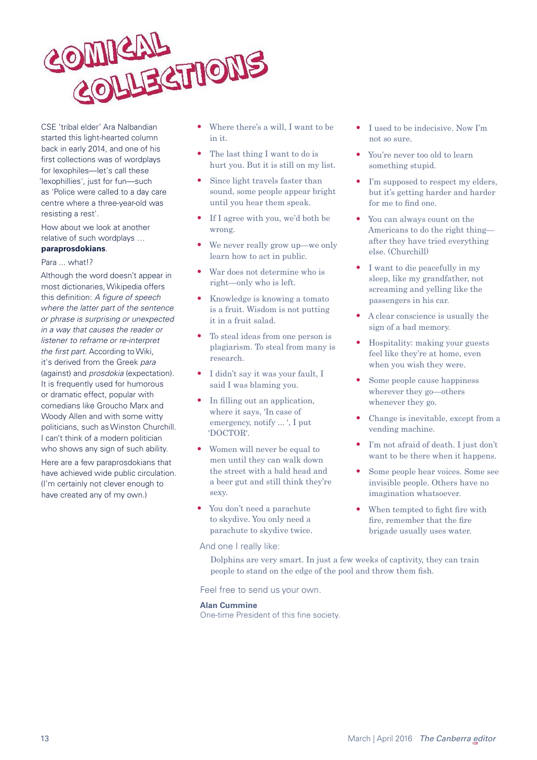

CSE 'tribal elder' Ara Nalbandian started this light-hearted column back in early 2014, and one of his first collections was of wordplays for lexophiles—let's call these 'lexophillies', just for fun—such as 'Police were called to a day care centre where a three-year-old was resisting a rest'.

How about we look at another relative of such wordplays …

#### **paraprosdokians**.

#### Para ... what!?

Although the word doesn't appear in most dictionaries, Wikipedia offers this definition: *A figure of speech where the latter part of the sentence or phrase is surprising or unexpected in a way that causes the reader or listener to reframe or re-interpret the first part.* According to Wiki, it's derived from the Greek *para* (against) and *prosdokia* (expectation). It is frequently used for humorous or dramatic effect, popular with comedians like Groucho Marx and Woody Allen and with some witty politicians, such as Winston Churchill. I can't think of a modern politician who shows any sign of such ability. Here are a few paraprosdokians that

have achieved wide public circulation. (I'm certainly not clever enough to have created any of my own.)

- Where there's a will, I want to be in it.
- The last thing I want to do is hurt you. But it is still on my list.
- Since light travels faster than sound, some people appear bright until you hear them speak.
- If I agree with you, we'd both be wrong.
- We never really grow up—we only learn how to act in public.
- War does not determine who is right—only who is left.
- Knowledge is knowing a tomato is a fruit. Wisdom is not putting it in a fruit salad.
- To steal ideas from one person is plagiarism. To steal from many is research.
- I didn't say it was your fault, I said I was blaming you.
- In filling out an application, where it says, 'In case of emergency, notify ... ', I put 'DOCTOR'.
- Women will never be equal to men until they can walk down the street with a bald head and a beer gut and still think they're sexy.
- You don't need a parachute to skydive. You only need a parachute to skydive twice.
- And one I really like:
- <span id="page-12-0"></span>• I used to be indecisive. Now I'm not so sure.
- You're never too old to learn something stupid.
- I'm supposed to respect my elders, but it's getting harder and harder for me to find one.
- You can always count on the Americans to do the right thing after they have tried everything else. (Churchill)
- I want to die peacefully in my sleep, like my grandfather, not screaming and yelling like the passengers in his car.
- A clear conscience is usually the sign of a bad memory.
- Hospitality: making your guests feel like they're at home, even when you wish they were.
- Some people cause happiness wherever they go—others whenever they go.
- Change is inevitable, except from a vending machine.
- I'm not afraid of death. I just don't want to be there when it happens.
- Some people hear voices. Some see invisible people. Others have no imagination whatsoever.
- When tempted to fight fire with fire, remember that the fire brigade usually uses water.

Dolphins are very smart. In just a few weeks of captivity, they can train people to stand on the edge of the pool and throw them fish.

Feel free to send us your own.

#### **Alan Cummine**

One-time President of this fine society.